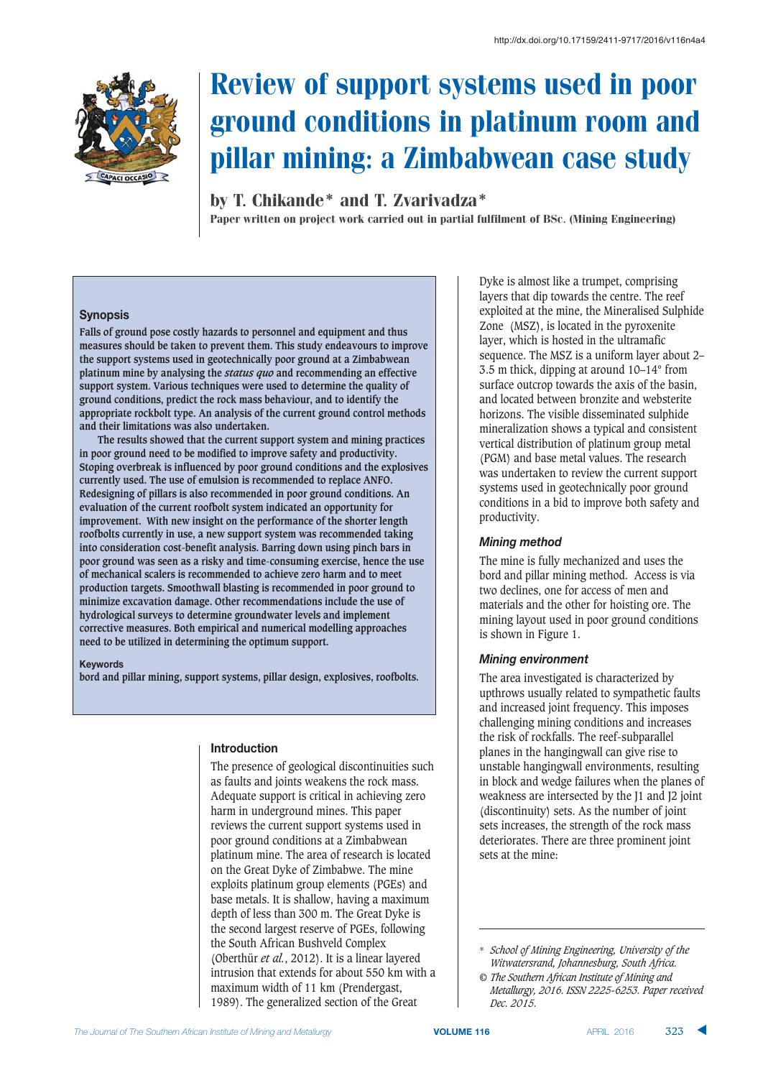

# Review of support systems used in poor ground conditions in platinum room and pillar mining: a Zimbabwean case study

by T. Chikande\* and T. Zvarivadza\*

Paper written on project work carried out in partial fulfilment of BSc. (Mining Engineering)

#### **Synopsis**

**Falls of ground pose costly hazards to personnel and equipment and thus measures should be taken to prevent them. This study endeavours to improve the support systems used in geotechnically poor ground at a Zimbabwean platinum mine by analysing the** *status quo* **and recommending an effective support system. Various techniques were used to determine the quality of ground conditions, predict the rock mass behaviour, and to identify the appropriate rockbolt type. An analysis of the current ground control methods and their limitations was also undertaken.**

**The results showed that the current support system and mining practices in poor ground need to be modified to improve safety and productivity. Stoping overbreak is influenced by poor ground conditions and the explosives currently used. The use of emulsion is recommended to replace ANFO. Redesigning of pillars is also recommended in poor ground conditions. An evaluation of the current roofbolt system indicated an opportunity for improvement. With new insight on the performance of the shorter length roofbolts currently in use, a new support system was recommended taking into consideration cost-benefit analysis. Barring down using pinch bars in poor ground was seen as a risky and time-consuming exercise, hence the use of mechanical scalers is recommended to achieve zero harm and to meet production targets. Smoothwall blasting is recommended in poor ground to minimize excavation damage. Other recommendations include the use of hydrological surveys to determine groundwater levels and implement corrective measures. Both empirical and numerical modelling approaches need to be utilized in determining the optimum support.**

#### $Keywords$

**bord and pillar mining, support systems, pillar design, explosives, roofbolts.**

#### **Introduction**

The presence of geological discontinuities such as faults and joints weakens the rock mass. Adequate support is critical in achieving zero harm in underground mines. This paper reviews the current support systems used in poor ground conditions at a Zimbabwean platinum mine. The area of research is located on the Great Dyke of Zimbabwe. The mine exploits platinum group elements (PGEs) and base metals. It is shallow, having a maximum depth of less than 300 m. The Great Dyke is the second largest reserve of PGEs, following the South African Bushveld Complex (Oberthür *et al.*, 2012). It is a linear layered intrusion that extends for about 550 km with a maximum width of 11 km (Prendergast, 1989). The generalized section of the Great

Dyke is almost like a trumpet, comprising layers that dip towards the centre. The reef exploited at the mine, the Mineralised Sulphide Zone (MSZ), is located in the pyroxenite layer, which is hosted in the ultramafic sequence. The MSZ is a uniform layer about 2– 3.5 m thick, dipping at around 10–14° from surface outcrop towards the axis of the basin, and located between bronzite and websterite horizons. The visible disseminated sulphide mineralization shows a typical and consistent vertical distribution of platinum group metal (PGM) and base metal values. The research was undertaken to review the current support systems used in geotechnically poor ground conditions in a bid to improve both safety and productivity.

#### *Mining method*

The mine is fully mechanized and uses the bord and pillar mining method. Access is via two declines, one for access of men and materials and the other for hoisting ore. The mining layout used in poor ground conditions is shown in Figure 1.

#### $Mining$  environment

The area investigated is characterized by upthrows usually related to sympathetic faults and increased joint frequency. This imposes challenging mining conditions and increases the risk of rockfalls. The reef-subparallel planes in the hangingwall can give rise to unstable hangingwall environments, resulting in block and wedge failures when the planes of weakness are intersected by the J1 and J2 joint (discontinuity) sets. As the number of joint sets increases, the strength of the rock mass deteriorates. There are three prominent joint sets at the mine:

<sup>\*</sup> *School of Mining Engineering, University of the Witwatersrand, Johannesburg, South Africa.*

*<sup>©</sup> The Southern African Institute of Mining and Metallurgy, 2016. ISSN 2225-6253. Paper received Dec. 2015.*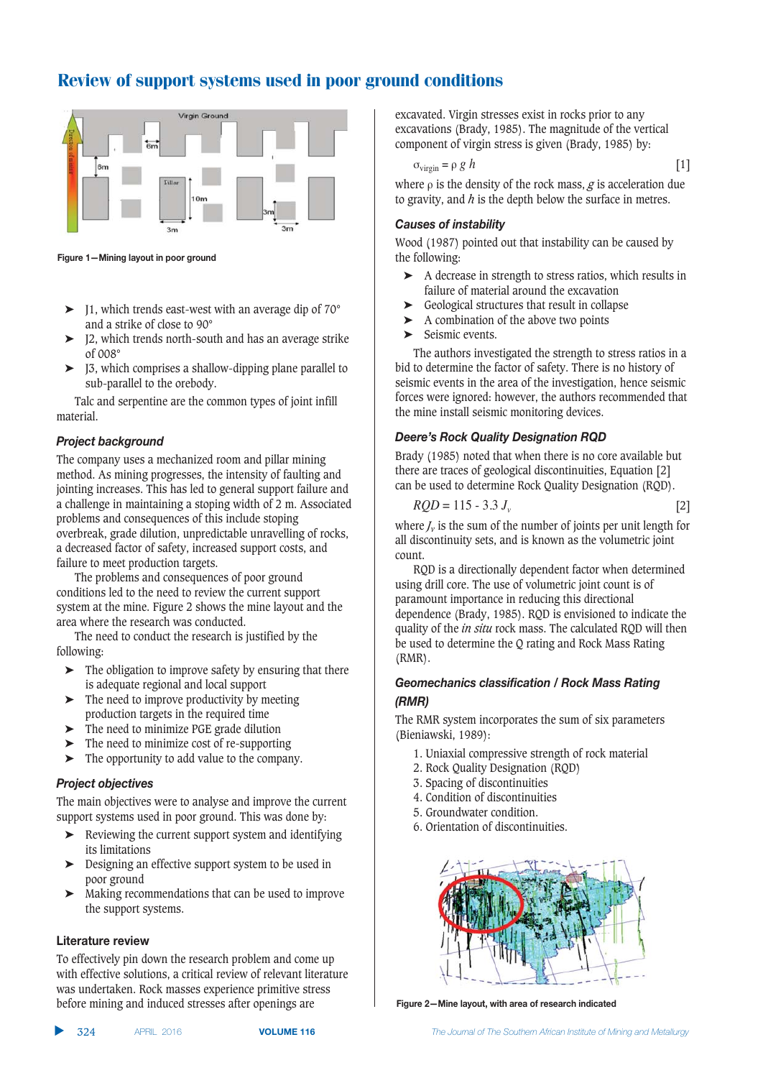

**+=5478>%-=;=;5 29\*:4<>=;>0::7>57:4;.**

- ➤ J1, which trends east-west with an average dip of 70° and a strike of close to 90°
- ➤ J2, which trends north-south and has an average strike of 008°
- ➤ J3, which comprises a shallow-dipping plane parallel to sub-parallel to the orebody.

Talc and serpentine are the common types of joint infill material.

#### $P$ *roject background*

The company uses a mechanized room and pillar mining method. As mining progresses, the intensity of faulting and jointing increases. This has led to general support failure and a challenge in maintaining a stoping width of 2 m. Associated problems and consequences of this include stoping overbreak, grade dilution, unpredictable unravelling of rocks, a decreased factor of safety, increased support costs, and failure to meet production targets.

The problems and consequences of poor ground conditions led to the need to review the current support system at the mine. Figure 2 shows the mine layout and the area where the research was conducted.

The need to conduct the research is justified by the following:

- ➤ The obligation to improve safety by ensuring that there is adequate regional and local support
- $\blacktriangleright$  The need to improve productivity by meeting production targets in the required time
- ➤ The need to minimize PGE grade dilution
- ➤ The need to minimize cost of re-supporting
- ➤ The opportunity to add value to the company.

#### $P$ *roiect obiectives*

The main objectives were to analyse and improve the current support systems used in poor ground. This was done by:

- ➤ Reviewing the current support system and identifying its limitations
- ➤ Designing an effective support system to be used in poor ground
- ➤ Making recommendations that can be used to improve the support systems.

#### **Literature review**

To effectively pin down the research problem and come up with effective solutions, a critical review of relevant literature was undertaken. Rock masses experience primitive stress before mining and induced stresses after openings are

excavated. Virgin stresses exist in rocks prior to any excavations (Brady, 1985). The magnitude of the vertical component of virgin stress is given (Brady, 1985) by:

$$
\sigma_{\text{virgin}} = \rho g h \tag{1}
$$

where  $\rho$  is the density of the rock mass,  $g$  is acceleration due to gravity, and *h* is the depth below the surface in metres.

#### $Causes of instability$

Wood (1987) pointed out that instability can be caused by the following:

- ➤ A decrease in strength to stress ratios, which results in failure of material around the excavation
- ➤ Geological structures that result in collapse
- ➤ A combination of the above two points
- ➤ Seismic events.

The authors investigated the strength to stress ratios in a bid to determine the factor of safety. There is no history of seismic events in the area of the investigation, hence seismic forces were ignored: however, the authors recommended that the mine install seismic monitoring devices.

#### *Deere's Rock Quality Designation RQD*

Brady (1985) noted that when there is no core available but there are traces of geological discontinuities, Equation [2] can be used to determine Rock Quality Designation (RQD).

$$
RQD = 115 - 3.3 J_{\nu} \tag{2}
$$

where  $J_{\nu}$  is the sum of the number of joints per unit length for all discontinuity sets, and is known as the volumetric joint count.

RQD is a directionally dependent factor when determined using drill core. The use of volumetric joint count is of paramount importance in reducing this directional dependence (Brady, 1985). RQD is envisioned to indicate the quality of the *in situ* rock mass. The calculated RQD will then be used to determine the Q rating and Rock Mass Rating (RMR).

#### $\bm{G}$ eomechanics classification / Rock Mass Rating *(RMR)*

The RMR system incorporates the sum of six parameters (Bieniawski, 1989):

- 1. Uniaxial compressive strength of rock material
- 2. Rock Quality Designation (RQD)
- 3. Spacing of discontinuities
- 4. Condition of discontinuities
- 5. Groundwater condition.
- 6. Orientation of discontinuities.



Figure 2-Mine layout, with area of research indicated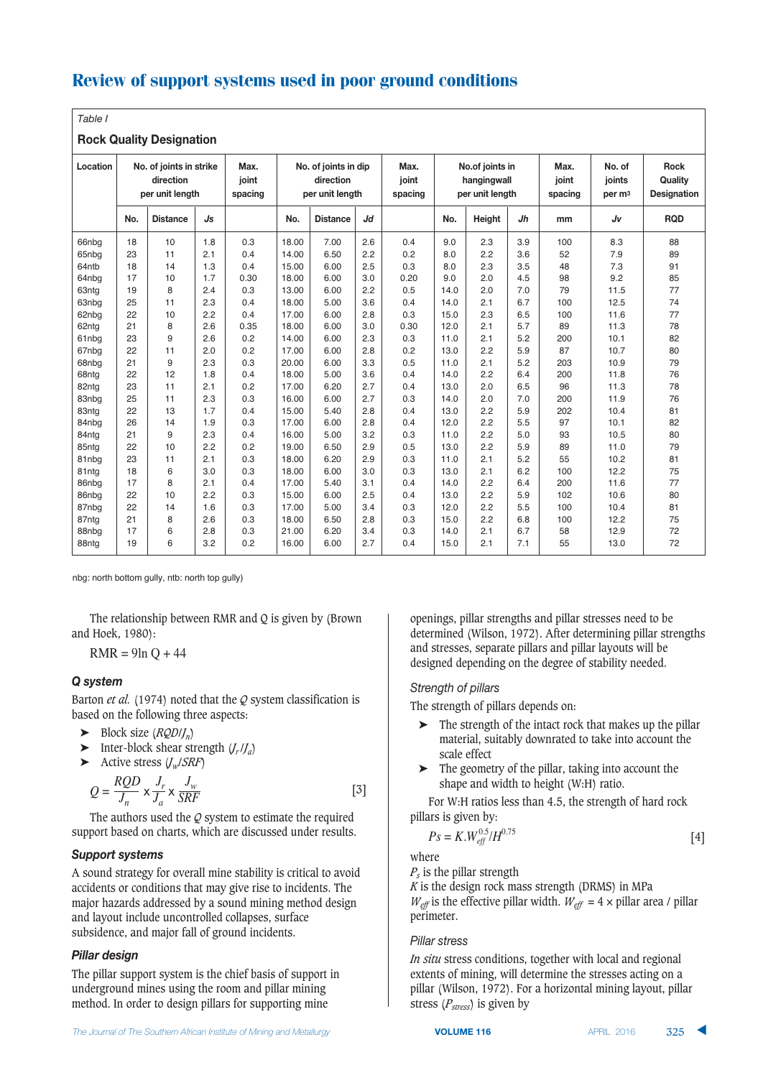| Table I                         |                                                         |                 |                                                                                  |      |                                                                               |                 |                          |                                        |                                       |        |     |     |      |            |
|---------------------------------|---------------------------------------------------------|-----------------|----------------------------------------------------------------------------------|------|-------------------------------------------------------------------------------|-----------------|--------------------------|----------------------------------------|---------------------------------------|--------|-----|-----|------|------------|
| <b>Rock Quality Designation</b> |                                                         |                 |                                                                                  |      |                                                                               |                 |                          |                                        |                                       |        |     |     |      |            |
| Location                        | No. of joints in strike<br>direction<br>per unit length |                 | Max.<br>No. of joints in dip<br>joint<br>direction<br>per unit length<br>spacing |      | Max.<br>No.of joints in<br>joint<br>hangingwall<br>per unit length<br>spacing |                 | Max.<br>joint<br>spacing | No. of<br>joints<br>per m <sup>3</sup> | Rock<br>Quality<br><b>Designation</b> |        |     |     |      |            |
|                                 | No.                                                     | <b>Distance</b> | Js                                                                               |      | No.                                                                           | <b>Distance</b> | Jd                       |                                        | No.                                   | Height | Jh  | mm  | Jv   | <b>RQD</b> |
| 66nbq                           | 18                                                      | 10              | 1.8                                                                              | 0.3  | 18.00                                                                         | 7.00            | 2.6                      | 0.4                                    | 9.0                                   | 2.3    | 3.9 | 100 | 8.3  | 88         |
| 65nbq                           | 23                                                      | 11              | 2.1                                                                              | 0.4  | 14.00                                                                         | 6.50            | 2.2                      | 0.2                                    | 8.0                                   | 2.2    | 3.6 | 52  | 7.9  | 89         |
| 64ntb                           | 18                                                      | 14              | 1.3                                                                              | 0.4  | 15.00                                                                         | 6.00            | 2.5                      | 0.3                                    | 8.0                                   | 2.3    | 3.5 | 48  | 7.3  | 91         |
| 64nbq                           | 17                                                      | 10              | 1.7                                                                              | 0.30 | 18.00                                                                         | 6.00            | 3.0                      | 0.20                                   | 9.0                                   | 2.0    | 4.5 | 98  | 9.2  | 85         |
| 63ntq                           | 19                                                      | 8               | 2.4                                                                              | 0.3  | 13.00                                                                         | 6.00            | 2.2                      | 0.5                                    | 14.0                                  | 2.0    | 7.0 | 79  | 11.5 | 77         |
| 63nbq                           | 25                                                      | 11              | 2.3                                                                              | 0.4  | 18.00                                                                         | 5.00            | 3.6                      | 0.4                                    | 14.0                                  | 2.1    | 6.7 | 100 | 12.5 | 74         |
| 62nbg                           | 22                                                      | 10              | 2.2                                                                              | 0.4  | 17.00                                                                         | 6.00            | 2.8                      | 0.3                                    | 15.0                                  | 2.3    | 6.5 | 100 | 11.6 | 77         |
| 62ntq                           | 21                                                      | 8               | 2.6                                                                              | 0.35 | 18.00                                                                         | 6.00            | 3.0                      | 0.30                                   | 12.0                                  | 2.1    | 5.7 | 89  | 11.3 | 78         |
| 61nbq                           | 23                                                      | 9               | 2.6                                                                              | 0.2  | 14.00                                                                         | 6.00            | 2.3                      | 0.3                                    | 11.0                                  | 2.1    | 5.2 | 200 | 10.1 | 82         |
| 67nbg                           | 22                                                      | 11              | 2.0                                                                              | 0.2  | 17.00                                                                         | 6.00            | 2.8                      | 0.2                                    | 13.0                                  | 2.2    | 5.9 | 87  | 10.7 | 80         |
| 68nbq                           | 21                                                      | 9               | 2.3                                                                              | 0.3  | 20.00                                                                         | 6.00            | 3.3                      | 0.5                                    | 11.0                                  | 2.1    | 5.2 | 203 | 10.9 | 79         |
| 68ntg                           | 22                                                      | 12              | 1.8                                                                              | 0.4  | 18.00                                                                         | 5.00            | 3.6                      | 0.4                                    | 14.0                                  | 2.2    | 6.4 | 200 | 11.8 | 76         |
| 82ntq                           | 23                                                      | 11              | 2.1                                                                              | 0.2  | 17.00                                                                         | 6.20            | 2.7                      | 0.4                                    | 13.0                                  | 2.0    | 6.5 | 96  | 11.3 | 78         |
| 83nbq                           | 25                                                      | 11              | 2.3                                                                              | 0.3  | 16.00                                                                         | 6.00            | 2.7                      | 0.3                                    | 14.0                                  | 2.0    | 7.0 | 200 | 11.9 | 76         |
| 83ntq                           | 22                                                      | 13              | 1.7                                                                              | 0.4  | 15.00                                                                         | 5.40            | 2.8                      | 0.4                                    | 13.0                                  | 2.2    | 5.9 | 202 | 10.4 | 81         |
| 84nbq                           | 26                                                      | 14              | 1.9                                                                              | 0.3  | 17.00                                                                         | 6.00            | 2.8                      | 0.4                                    | 12.0                                  | 2.2    | 5.5 | 97  | 10.1 | 82         |
| 84ntq                           | 21                                                      | 9               | 2.3                                                                              | 0.4  | 16.00                                                                         | 5.00            | 3.2                      | 0.3                                    | 11.0                                  | 2.2    | 5.0 | 93  | 10.5 | 80         |
| 85nta                           | 22                                                      | 10              | 2.2                                                                              | 0.2  | 19.00                                                                         | 6.50            | 2.9                      | 0.5                                    | 13.0                                  | 2.2    | 5.9 | 89  | 11.0 | 79         |
| 81nbq                           | 23                                                      | 11              | 2.1                                                                              | 0.3  | 18.00                                                                         | 6.20            | 2.9                      | 0.3                                    | 11.0                                  | 2.1    | 5.2 | 55  | 10.2 | 81         |
| 81ntq                           | 18                                                      | 6               | 3.0                                                                              | 0.3  | 18.00                                                                         | 6.00            | 3.0                      | 0.3                                    | 13.0                                  | 2.1    | 6.2 | 100 | 12.2 | 75         |
| 86nbq                           | 17                                                      | 8               | 2.1                                                                              | 0.4  | 17.00                                                                         | 5.40            | 3.1                      | 0.4                                    | 14.0                                  | 2.2    | 6.4 | 200 | 11.6 | 77         |
| 86nbq                           | 22                                                      | 10              | 2.2                                                                              | 0.3  | 15.00                                                                         | 6.00            | 2.5                      | 0.4                                    | 13.0                                  | 2.2    | 5.9 | 102 | 10.6 | 80         |
| 87nbq                           | 22                                                      | 14              | 1.6                                                                              | 0.3  | 17.00                                                                         | 5.00            | 3.4                      | 0.3                                    | 12.0                                  | 2.2    | 5.5 | 100 | 10.4 | 81         |
| 87ntg                           | 21                                                      | 8               | 2.6                                                                              | 0.3  | 18.00                                                                         | 6.50            | 2.8                      | 0.3                                    | 15.0                                  | 2.2    | 6.8 | 100 | 12.2 | 75         |
| 88nbg                           | 17                                                      | 6               | 2.8                                                                              | 0.3  | 21.00                                                                         | 6.20            | 3.4                      | 0.3                                    | 14.0                                  | 2.1    | 6.7 | 58  | 12.9 | 72         |
| 88ntg                           | 19                                                      | 6               | 3.2                                                                              | 0.2  | 16.00                                                                         | 6.00            | 2.7                      | 0.4                                    | 15.0                                  | 2.1    | 7.1 | 55  | 13.0 | 72         |

nbg: north bottom gully, ntb: north top gully)

The relationship between RMR and Q is given by (Brown and Hoek, 1980):

 $RMR = 9ln Q + 44$ 

#### $Q$  system

Barton *et al.* (1974) noted that the *Q* system classification is based on the following three aspects:

- ➤ Block size (*RQD*/*Jn*)
- $\blacktriangleright$  Inter-block shear strength  $(J_r/J_a)$
- ➤ Active stress (*Jw*/*SRF*)

$$
Q = \frac{RQD}{J_n} \times \frac{J_r}{J_a} \times \frac{J_w}{SRF}
$$
 [3]

The authors used the *Q* system to estimate the required support based on charts, which are discussed under results.

#### *"!#)''#%'*

A sound strategy for overall mine stability is critical to avoid accidents or conditions that may give rise to incidents. The major hazards addressed by a sound mining method design and layout include uncontrolled collapses, surface subsidence, and major fall of ground incidents.

#### $P$ *illar* design

The pillar support system is the chief basis of support in underground mines using the room and pillar mining method. In order to design pillars for supporting mine

openings, pillar strengths and pillar stresses need to be determined (Wilson, 1972). After determining pillar strengths and stresses, separate pillars and pillar layouts will be designed depending on the degree of stability needed.

#### *Strength of pillars*

The strength of pillars depends on:

- ➤ The strength of the intact rock that makes up the pillar material, suitably downrated to take into account the scale effect
- ➤ The geometry of the pillar, taking into account the shape and width to height (W:H) ratio.

For W:H ratios less than 4.5, the strength of hard rock pillars is given by:

$$
Ps = K.W_{\text{eff}}^{0.5} / H^{0.75}
$$
 [4]

where

 $P<sub>s</sub>$  is the pillar strength

*K* is the design rock mass strength (DRMS) in MPa  $W_{\text{eff}}$  is the effective pillar width.  $W_{\text{eff}} = 4 \times \text{pillar area / pillar}$ perimeter.

#### **Pillar** stress

*In situ* stress conditions, together with local and regional extents of mining, will determine the stresses acting on a pillar (Wilson, 1972). For a horizontal mining layout, pillar stress (*Pstress*) is given by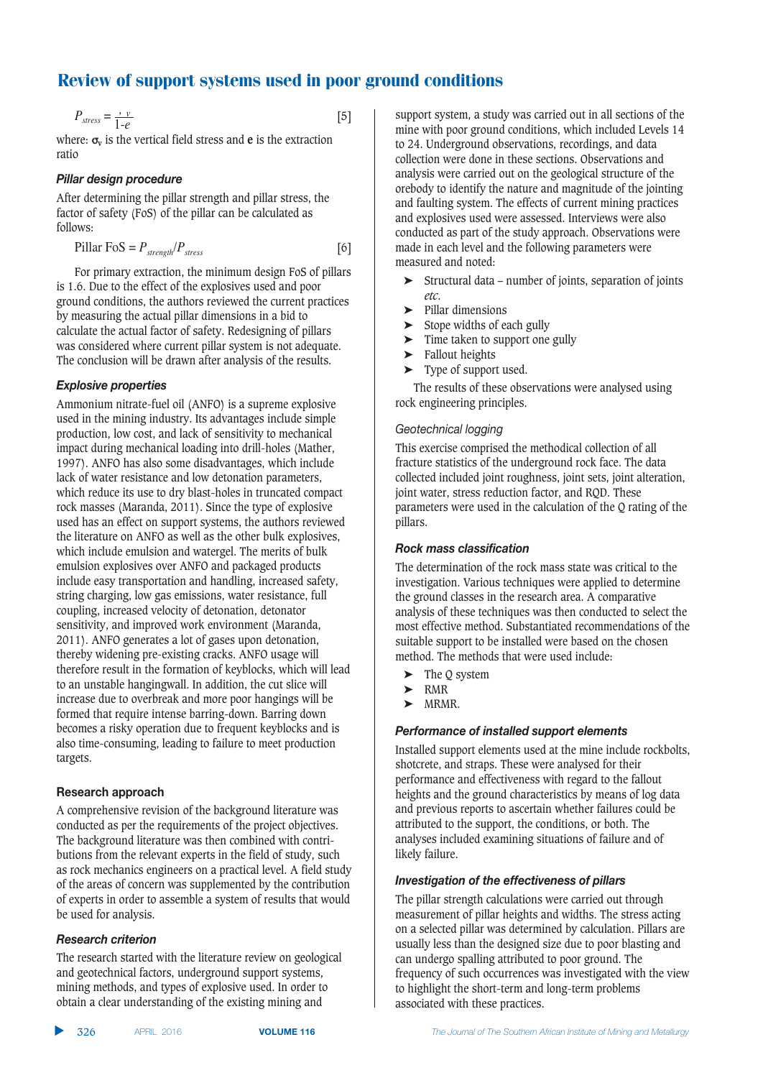$$
P_{stress} = \frac{v}{1 - e} \tag{5}
$$

where:  $\sigma_{v}$  is the vertical field stress and **e** is the extraction ratio

#### $P$ *illar* design procedure

After determining the pillar strength and pillar stress, the factor of safety (FoS) of the pillar can be calculated as follows:

$$
Pillar FoS = P_{strength}/P_{stress}
$$
 [6]

For primary extraction, the minimum design FoS of pillars is 1.6. Due to the effect of the explosives used and poor ground conditions, the authors reviewed the current practices by measuring the actual pillar dimensions in a bid to calculate the actual factor of safety. Redesigning of pillars was considered where current pillar system is not adequate. The conclusion will be drawn after analysis of the results.

## $Explosive properties$

Ammonium nitrate-fuel oil (ANFO) is a supreme explosive used in the mining industry. Its advantages include simple production, low cost, and lack of sensitivity to mechanical impact during mechanical loading into drill-holes (Mather, 1997). ANFO has also some disadvantages, which include lack of water resistance and low detonation parameters, which reduce its use to dry blast-holes in truncated compact rock masses (Maranda, 2011). Since the type of explosive used has an effect on support systems, the authors reviewed the literature on ANFO as well as the other bulk explosives, which include emulsion and watergel. The merits of bulk emulsion explosives over ANFO and packaged products include easy transportation and handling, increased safety, string charging, low gas emissions, water resistance, full coupling, increased velocity of detonation, detonator sensitivity, and improved work environment (Maranda, 2011). ANFO generates a lot of gases upon detonation, thereby widening pre-existing cracks. ANFO usage will therefore result in the formation of keyblocks, which will lead to an unstable hangingwall. In addition, the cut slice will increase due to overbreak and more poor hangings will be formed that require intense barring-down. Barring down becomes a risky operation due to frequent keyblocks and is also time-consuming, leading to failure to meet production targets.

## **/868973,>9007:93,**

A comprehensive revision of the background literature was conducted as per the requirements of the project objectives. The background literature was then combined with contributions from the relevant experts in the field of study, such as rock mechanics engineers on a practical level. A field study of the areas of concern was supplemented by the contribution of experts in order to assemble a system of results that would be used for analysis.

## $Research$  *criterion*

The research started with the literature review on geological and geotechnical factors, underground support systems, mining methods, and types of explosive used. In order to obtain a clear understanding of the existing mining and

support system, a study was carried out in all sections of the mine with poor ground conditions, which included Levels 14 to 24. Underground observations, recordings, and data collection were done in these sections. Observations and analysis were carried out on the geological structure of the orebody to identify the nature and magnitude of the jointing and faulting system. The effects of current mining practices and explosives used were assessed. Interviews were also conducted as part of the study approach. Observations were made in each level and the following parameters were measured and noted:

- ➤ Structural data number of joints, separation of joints *etc*.
- ➤ Pillar dimensions
- ➤ Stope widths of each gully
- ➤ Time taken to support one gully
- ➤ Fallout heights
- ➤ Type of support used.

The results of these observations were analysed using rock engineering principles.

## Geotechnical logging

This exercise comprised the methodical collection of all fracture statistics of the underground rock face. The data collected included joint roughness, joint sets, joint alteration, joint water, stress reduction factor, and ROD. These parameters were used in the calculation of the Q rating of the pillars.

## $Rock$  *mass classification*

The determination of the rock mass state was critical to the investigation. Various techniques were applied to determine the ground classes in the research area. A comparative analysis of these techniques was then conducted to select the most effective method. Substantiated recommendations of the suitable support to be installed were based on the chosen method. The methods that were used include:

- The Q system
- ➤ RMR
- ➤ MRMR.

## *Performance of installed support elements*

Installed support elements used at the mine include rockbolts, shotcrete, and straps. These were analysed for their performance and effectiveness with regard to the fallout heights and the ground characteristics by means of log data and previous reports to ascertain whether failures could be attributed to the support, the conditions, or both. The analyses included examining situations of failure and of likely failure.

## $\blacksquare$ *hvestigation of the effectiveness of pillars*

The pillar strength calculations were carried out through measurement of pillar heights and widths. The stress acting on a selected pillar was determined by calculation. Pillars are usually less than the designed size due to poor blasting and can undergo spalling attributed to poor ground. The frequency of such occurrences was investigated with the view to highlight the short-term and long-term problems associated with these practices.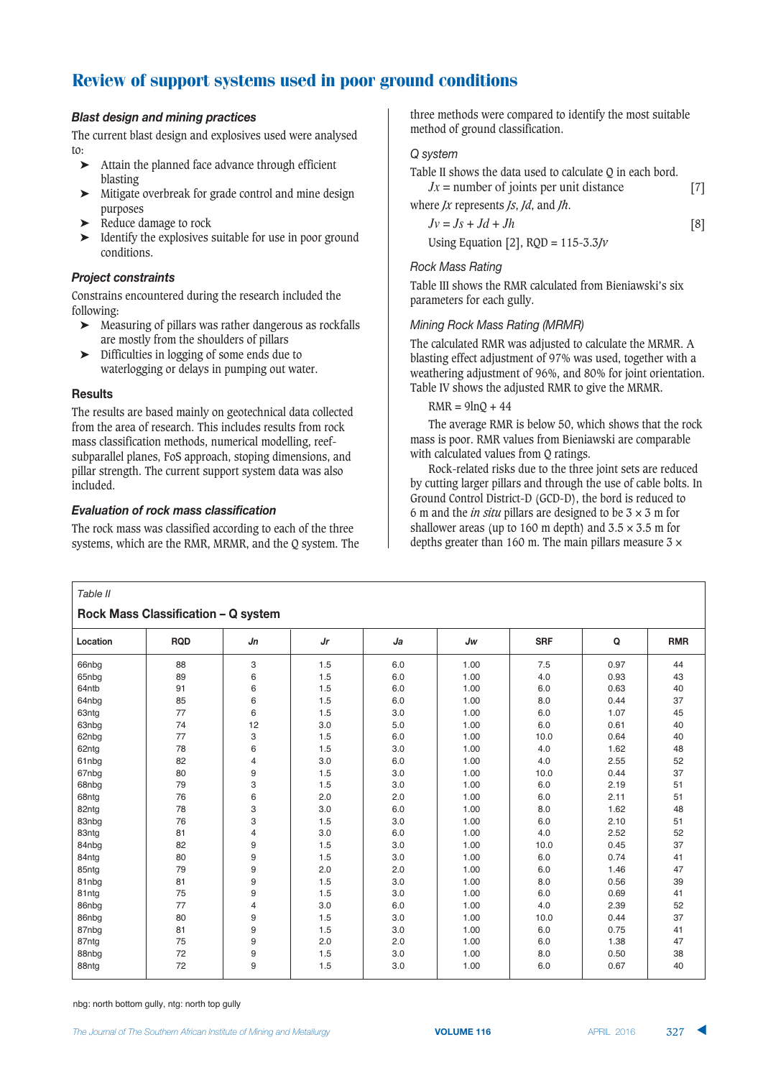#### $B$ *last design and mining practices*

The current blast design and explosives used were analysed to:

- ➤ Attain the planned face advance through efficient blasting
- ➤ Mitigate overbreak for grade control and mine design purposes
- ➤ Reduce damage to rock
- ➤ Identify the explosives suitable for use in poor ground conditions.

#### $P$ *roiect constraints*

Constrains encountered during the research included the following:

- ➤ Measuring of pillars was rather dangerous as rockfalls are mostly from the shoulders of pillars
- ➤ Difficulties in logging of some ends due to waterlogging or delays in pumping out water.

#### **/8642<6**

The results are based mainly on geotechnical data collected from the area of research. This includes results from rock mass classification methods, numerical modelling, reefsubparallel planes, FoS approach, stoping dimensions, and pillar strength. The current support system data was also included.

#### **Evaluation of rock mass classification**

The rock mass was classified according to each of the three systems, which are the RMR, MRMR, and the Q system. The three methods were compared to identify the most suitable method of ground classification.

#### Q system

Table II shows the data used to calculate Q in each bord.

| $Jx$ = number of joints per unit distance                          | $\lceil 7 \rceil$ |
|--------------------------------------------------------------------|-------------------|
| where <i>Jx</i> represents <i>Js</i> , <i>Jd</i> , and <i>Jh</i> . |                   |

$$
Jv = Js + Jd + Jh
$$
 [8]  
Using Equation [2], RQD = 115-3.3*Jv*

#### **Rock Mass Rating**

Table III shows the RMR calculated from Bieniawski's six parameters for each gully.

#### Mining Rock Mass Rating (MRMR)

The calculated RMR was adjusted to calculate the MRMR. A blasting effect adjustment of 97% was used, together with a weathering adjustment of 96%, and 80% for joint orientation. Table IV shows the adjusted RMR to give the MRMR.

#### $RMR = 9ln0 + 44$

The average RMR is below 50, which shows that the rock mass is poor. RMR values from Bieniawski are comparable with calculated values from Q ratings.

Rock-related risks due to the three joint sets are reduced by cutting larger pillars and through the use of cable bolts. In Ground Control District-D (GCD-D), the bord is reduced to 6 m and the *in situ* pillars are designed to be  $3 \times 3$  m for shallower areas (up to 160 m depth) and  $3.5 \times 3.5$  m for depths greater than 160 m. The main pillars measure  $3 \times$ 

#### *Table II*

## $\blacksquare$  **Pock Mass Classification = 0 system**

| <b>NUCK MIGSS UIGSSINGUUN – &amp; System</b> |            |    |         |     |      |            |      |            |
|----------------------------------------------|------------|----|---------|-----|------|------------|------|------------|
| Location                                     | <b>RQD</b> | Jn | Jr      | Ja  | Jw   | <b>SRF</b> | Q    | <b>RMR</b> |
| 66nbq                                        | 88         | 3  | 1.5     | 6.0 | 1.00 | 7.5        | 0.97 | 44         |
| 65nbg                                        | 89         | 6  | 1.5     | 6.0 | 1.00 | 4.0        | 0.93 | 43         |
| 64ntb                                        | 91         | 6  | 1.5     | 6.0 | 1.00 | 6.0        | 0.63 | 40         |
| 64nbq                                        | 85         | 6  | 1.5     | 6.0 | 1.00 | 8.0        | 0.44 | 37         |
| 63ntg                                        | 77         | 6  | 1.5     | 3.0 | 1.00 | 6.0        | 1.07 | 45         |
| 63nbq                                        | 74         | 12 | 3.0     | 5.0 | 1.00 | 6.0        | 0.61 | 40         |
| 62nbg                                        | 77         | 3  | 1.5     | 6.0 | 1.00 | 10.0       | 0.64 | 40         |
| 62ntg                                        | 78         | 6  | 1.5     | 3.0 | 1.00 | 4.0        | 1.62 | 48         |
| 61nbg                                        | 82         | 4  | 3.0     | 6.0 | 1.00 | 4.0        | 2.55 | 52         |
| 67nbg                                        | 80         | 9  | 1.5     | 3.0 | 1.00 | 10.0       | 0.44 | 37         |
| 68nbg                                        | 79         | 3  | 1.5     | 3.0 | 1.00 | 6.0        | 2.19 | 51         |
| 68ntg                                        | 76         | 6  | 2.0     | 2.0 | 1.00 | 6.0        | 2.11 | 51         |
| 82ntg                                        | 78         | 3  | 3.0     | 6.0 | 1.00 | 8.0        | 1.62 | 48         |
| 83nbg                                        | 76         | 3  | 1.5     | 3.0 | 1.00 | 6.0        | 2.10 | 51         |
| 83ntg                                        | 81         | 4  | 3.0     | 6.0 | 1.00 | 4.0        | 2.52 | 52         |
| 84nbg                                        | 82         | 9  | 1.5     | 3.0 | 1.00 | 10.0       | 0.45 | 37         |
| 84ntg                                        | 80         | 9  | 1.5     | 3.0 | 1.00 | 6.0        | 0.74 | 41         |
| 85ntg                                        | 79         | 9  | 2.0     | 2.0 | 1.00 | 6.0        | 1.46 | 47         |
| 81nbg                                        | 81         | 9  | 1.5     | 3.0 | 1.00 | 8.0        | 0.56 | 39         |
| 81ntg                                        | 75         | 9  | 1.5     | 3.0 | 1.00 | 6.0        | 0.69 | 41         |
| 86nbg                                        | 77         | 4  | 3.0     | 6.0 | 1.00 | 4.0        | 2.39 | 52         |
| 86nbg                                        | 80         | 9  | 1.5     | 3.0 | 1.00 | 10.0       | 0.44 | 37         |
| 87nbg                                        | 81         | 9  | 1.5     | 3.0 | 1.00 | 6.0        | 0.75 | 41         |
| 87ntg                                        | 75         | 9  | 2.0     | 2.0 | 1.00 | 6.0        | 1.38 | 47         |
| 88nbg                                        | 72         | 9  | $1.5\,$ | 3.0 | 1.00 | 8.0        | 0.50 | 38         |
| 88ntg                                        | 72         | 9  | 1.5     | 3.0 | 1.00 | 6.0        | 0.67 | 40         |

nbg: north bottom gully, ntg: north top gully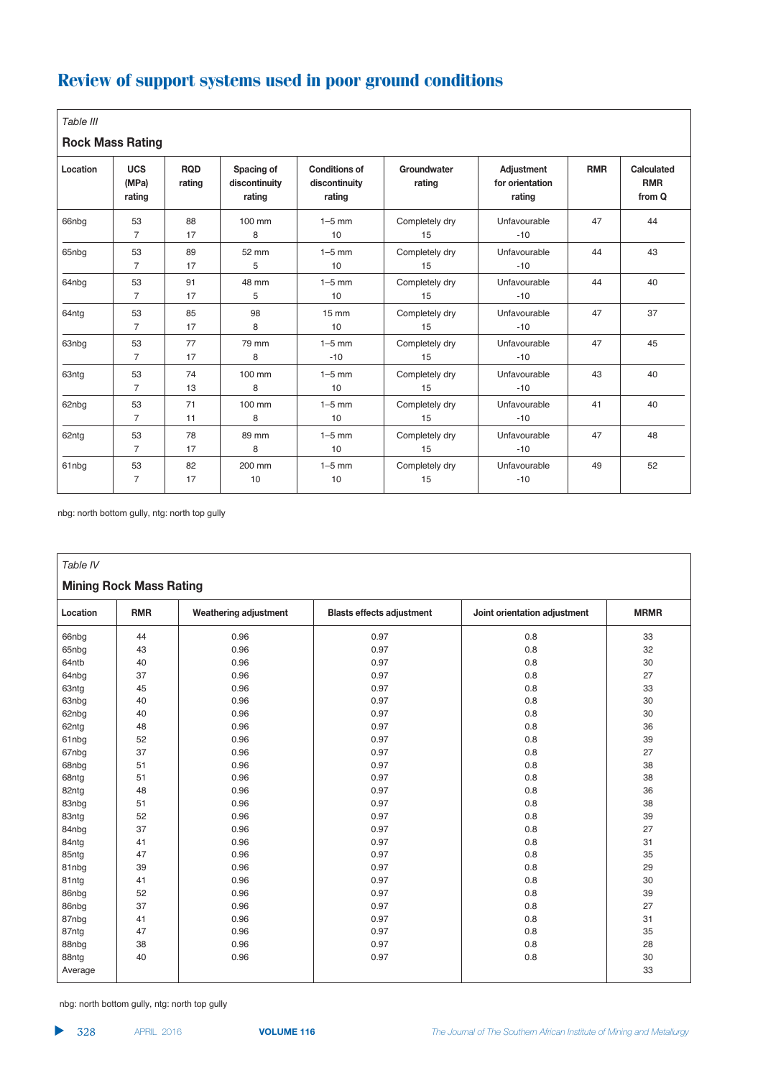#### *Table III* **Rock Mass Rating**  $\overline{2}$ **Location** UCS CS | RQD | Spacing.of | Conditions.of | Groundwater | Adjustment | RMR | Calculated  $\left\langle \textsf{MPa} \right\rangle$  **7** rating discontinuity discontinuity rating for orientation FMR rating | rating | rating | rating |  $\sim$  rating |  $\sim$  170m Q 66nbg | 53 | 88 | 100 mm | 1–5 mm | Completely dry | Unfavourable | 47 | 44 7 | 17 | 8 | 10 | 15 | -10 65nbg | 53 | 89 | 52 mm | 1–5 mm | Completely dry | Unfavourable | 44 | 43 7 | 17 | 5 | 10 | 15 | -10 64nbg | 53 | 91 | 48 mm | 1–5 mm | Completely dry | Unfavourable | 44 | 40 7 | 17 | 5 | 10 | 15 | -10 64ntg | 53 | 85 | 98 | 15 mm | Completely dry | Unfavourable | 47 | 37 7 | 17 | 8 | 10 | 15 | -10 63nbg | 53 | 77 | 79 mm | 1–5 mm | Completely dry | Unfavourable | 47 | 45 7 | 17 | 8 | -10 | 15 | -10 63ntg | 53 | 74 | 100 mm | 1–5 mm | Completely dry | Unfavourable | 43 | 40 7 | 13 | 8 | 10 | 15 | -10 62nbg | 53 | 71 | 100 mm | 1–5 mm | Completely dry | Unfavourable | 41 | 40 7 | 11 | 8 | 10 | 15 | -10 62ntg | 53 | 78 | 89 mm | 1–5 mm | Completely dry | Unfavourable | 47 | 48 7 | 17 | 8 | 10 | 15 | -10 61nbg | 53 | 82 | 200 mm | 1–5 mm | Completely dry | Unfavourable | 49 | 52 7 | 17 | 10 | 10 | 15 | -10

nbg: north bottom gully, ntg: north top gully

| Table IV                       |            |                       |                                  |                              |             |  |  |  |  |
|--------------------------------|------------|-----------------------|----------------------------------|------------------------------|-------------|--|--|--|--|
| <b>Mining Rock Mass Rating</b> |            |                       |                                  |                              |             |  |  |  |  |
| Location                       | <b>RMR</b> | Weathering adjustment | <b>Blasts effects adjustment</b> | Joint orientation adjustment | <b>MRMR</b> |  |  |  |  |
| 66nbg                          | 44         | 0.96                  | 0.97                             | 0.8                          | 33          |  |  |  |  |
| 65nbg                          | 43         | 0.96                  | 0.97                             | 0.8                          | 32          |  |  |  |  |
| 64ntb                          | 40         | 0.96                  | 0.97                             | 0.8                          | 30          |  |  |  |  |
| 64nbg                          | 37         | 0.96                  | 0.97                             | 0.8                          | 27          |  |  |  |  |
| 63ntg                          | 45         | 0.96                  | 0.97                             | 0.8                          | 33          |  |  |  |  |
| 63nbg                          | 40         | 0.96                  | 0.97                             | 0.8                          | 30          |  |  |  |  |
| 62nbg                          | 40         | 0.96                  | 0.97                             | 0.8                          | 30          |  |  |  |  |
| 62ntg                          | 48         | 0.96                  | 0.97                             | 0.8                          | 36          |  |  |  |  |
| 61nbg                          | 52         | 0.96                  | 0.97                             | 0.8                          | 39          |  |  |  |  |
| 67nbg                          | 37         | 0.96                  | 0.97                             | 0.8                          | 27          |  |  |  |  |
| 68nbg                          | 51         | 0.96                  | 0.97                             | 0.8                          | 38          |  |  |  |  |
| 68ntg                          | 51         | 0.96                  | 0.97                             | 0.8                          | 38          |  |  |  |  |
| 82ntg                          | 48         | 0.96                  | 0.97                             | 0.8                          | 36          |  |  |  |  |
| 83nbg                          | 51         | 0.96                  | 0.97                             | 0.8                          | 38          |  |  |  |  |
| 83ntg                          | 52         | 0.96                  | 0.97                             | 0.8                          | 39          |  |  |  |  |
| 84nbg                          | 37         | 0.96                  | 0.97                             | 0.8                          | 27          |  |  |  |  |
| 84ntg                          | 41         | 0.96                  | 0.97                             | 0.8                          | 31          |  |  |  |  |
| 85ntg                          | 47         | 0.96                  | 0.97                             | 0.8                          | 35          |  |  |  |  |
| 81nbg                          | 39         | 0.96                  | 0.97                             | 0.8                          | 29          |  |  |  |  |
| 81ntg                          | 41         | 0.96                  | 0.97                             | 0.8                          | 30          |  |  |  |  |
| 86nbg                          | 52         | 0.96                  | 0.97                             | 0.8                          | 39          |  |  |  |  |
| 86nbg                          | 37         | 0.96                  | 0.97                             | 0.8                          | 27          |  |  |  |  |
| 87nbg                          | 41         | 0.96                  | 0.97                             | 0.8                          | 31          |  |  |  |  |
| 87ntg                          | 47         | 0.96                  | 0.97                             | 0.8                          | 35          |  |  |  |  |
| 88nbg                          | 38         | 0.96                  | 0.97                             | 0.8                          | 28          |  |  |  |  |
| 88ntg                          | 40         | 0.96                  | 0.97                             | 0.8                          | 30          |  |  |  |  |
| Average                        |            |                       |                                  |                              | 33          |  |  |  |  |

nbg: north bottom gully, ntg: north top gully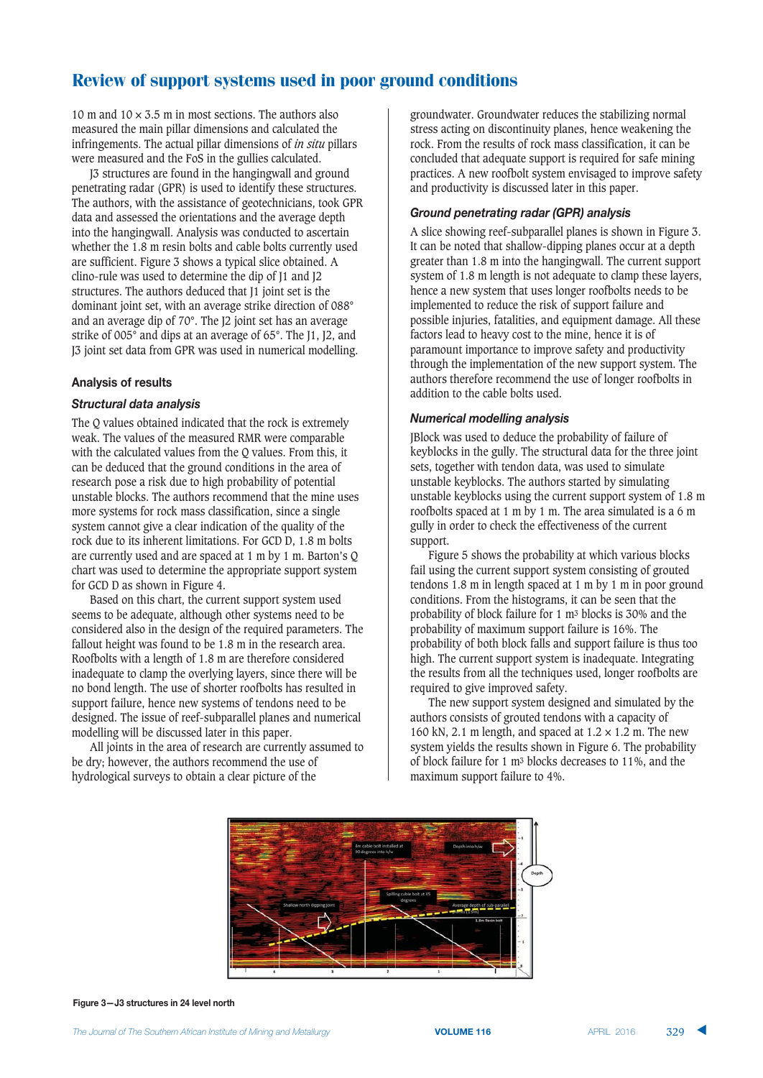10 m and  $10 \times 3.5$  m in most sections. The authors also measured the main pillar dimensions and calculated the infringements. The actual pillar dimensions of *in situ* pillars were measured and the FoS in the gullies calculated.

J3 structures are found in the hangingwall and ground penetrating radar (GPR) is used to identify these structures. The authors, with the assistance of geotechnicians, took GPR data and assessed the orientations and the average depth into the hangingwall. Analysis was conducted to ascertain whether the 1.8 m resin bolts and cable bolts currently used are sufficient. Figure 3 shows a typical slice obtained. A clino-rule was used to determine the dip of J1 and J2 structures. The authors deduced that J1 joint set is the dominant joint set, with an average strike direction of 088° and an average dip of 70°. The J2 joint set has an average strike of 005° and dips at an average of 65°. The J1, J2, and J3 joint set data from GPR was used in numerical modelling.

#### $\mathsf{Analysis}$  of results

#### *#! #!& &#&)&\$&'('*

The Q values obtained indicated that the rock is extremely weak. The values of the measured RMR were comparable with the calculated values from the Q values. From this, it can be deduced that the ground conditions in the area of research pose a risk due to high probability of potential unstable blocks. The authors recommend that the mine uses more systems for rock mass classification, since a single system cannot give a clear indication of the quality of the rock due to its inherent limitations. For GCD D, 1.8 m bolts are currently used and are spaced at 1 m by 1 m. Barton's Q chart was used to determine the appropriate support system for GCD D as shown in Figure 4.

Based on this chart, the current support system used seems to be adequate, although other systems need to be considered also in the design of the required parameters. The fallout height was found to be 1.8 m in the research area. Roofbolts with a length of 1.8 m are therefore considered inadequate to clamp the overlying layers, since there will be no bond length. The use of shorter roofbolts has resulted in support failure, hence new systems of tendons need to be designed. The issue of reef-subparallel planes and numerical modelling will be discussed later in this paper.

All joints in the area of research are currently assumed to be dry; however, the authors recommend the use of hydrological surveys to obtain a clear picture of the

groundwater. Groundwater reduces the stabilizing normal stress acting on discontinuity planes, hence weakening the rock. From the results of rock mass classification, it can be concluded that adequate support is required for safe mining practices. A new roofbolt system envisaged to improve safety and productivity is discussed later in this paper.

#### **& Ground penetrating radar (GPR) analysis**

A slice showing reef-subparallel planes is shown in Figure 3. It can be noted that shallow-dipping planes occur at a depth greater than 1.8 m into the hangingwall. The current support system of 1.8 m length is not adequate to clamp these layers, hence a new system that uses longer roofbolts needs to be implemented to reduce the risk of support failure and possible injuries, fatalities, and equipment damage. All these factors lead to heavy cost to the mine, hence it is of paramount importance to improve safety and productivity through the implementation of the new support system. The authors therefore recommend the use of longer roofbolts in addition to the cable bolts used.

#### *Numerical modelling analysis*

JBlock was used to deduce the probability of failure of keyblocks in the gully. The structural data for the three joint sets, together with tendon data, was used to simulate unstable keyblocks. The authors started by simulating unstable keyblocks using the current support system of 1.8 m roofbolts spaced at 1 m by 1 m. The area simulated is a 6 m gully in order to check the effectiveness of the current support.

Figure 5 shows the probability at which various blocks fail using the current support system consisting of grouted tendons 1.8 m in length spaced at 1 m by 1 m in poor ground conditions. From the histograms, it can be seen that the probability of block failure for 1 m3 blocks is 30% and the probability of maximum support failure is 16%. The probability of both block falls and support failure is thus too high. The current support system is inadequate. Integrating the results from all the techniques used, longer roofbolts are required to give improved safety.

The new support system designed and simulated by the authors consists of grouted tendons with a capacity of 160 kN, 2.1 m length, and spaced at  $1.2 \times 1.2$  m. The new system yields the results shown in Figure 6. The probability of block failure for 1 m3 blocks decreases to 11%, and the maximum support failure to 4%.



#### **figure 3-J3 structures in 24 level north**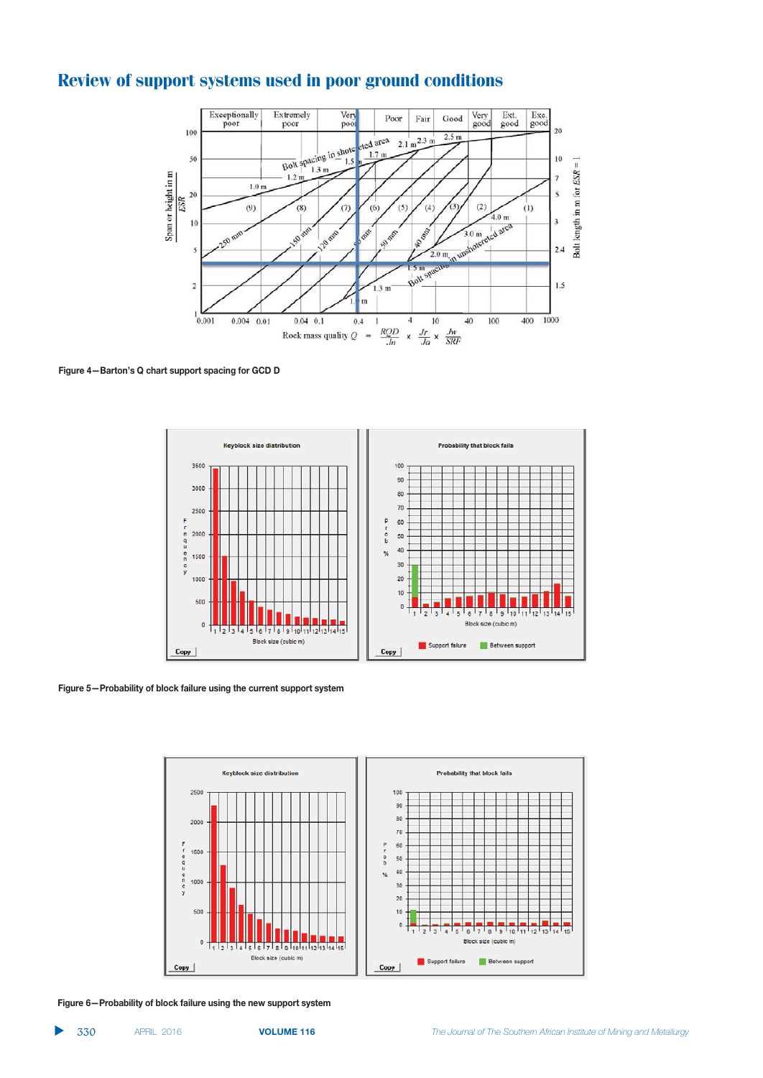

**figure 4-Barton's Q chart support spacing for GCD D** 



Figure 5—Probability of block failure using the current support system



Figure 6-Probability of block failure using the new support system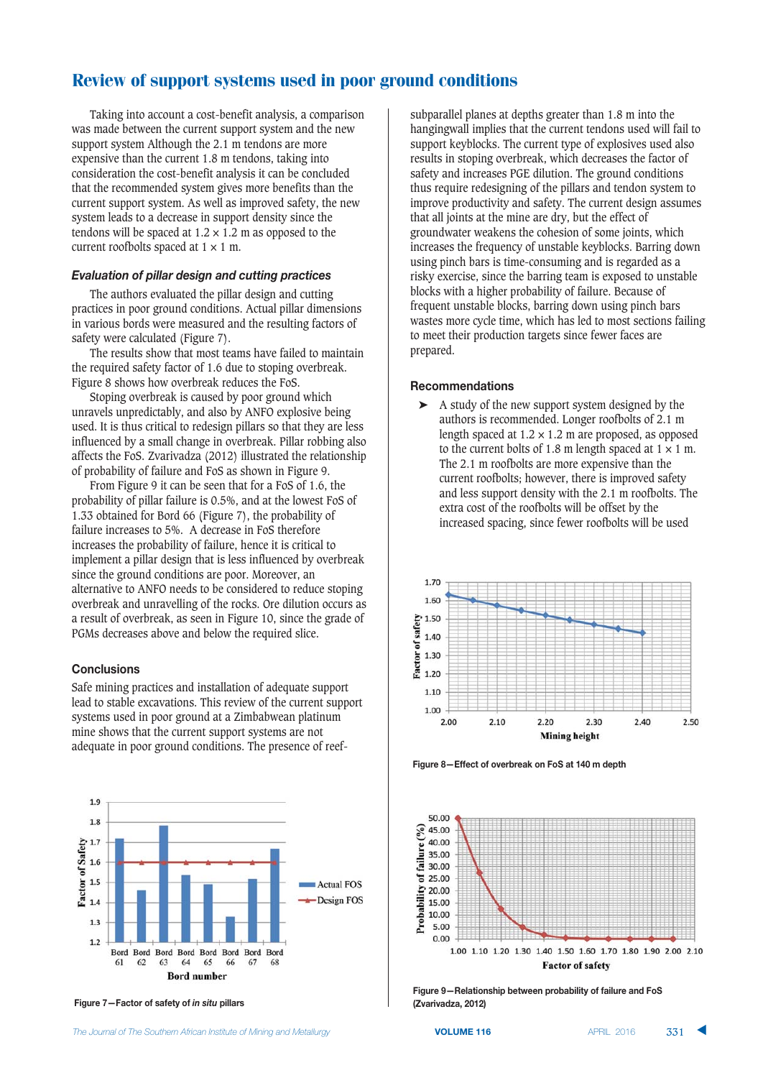Taking into account a cost-benefit analysis, a comparison was made between the current support system and the new support system Although the 2.1 m tendons are more expensive than the current 1.8 m tendons, taking into consideration the cost-benefit analysis it can be concluded that the recommended system gives more benefits than the current support system. As well as improved safety, the new system leads to a decrease in support density since the tendons will be spaced at  $1.2 \times 1.2$  m as opposed to the current roofbolts spaced at  $1 \times 1$  m.

#### **Evaluation of pillar design and cutting practices**

The authors evaluated the pillar design and cutting practices in poor ground conditions. Actual pillar dimensions in various bords were measured and the resulting factors of safety were calculated (Figure 7).

The results show that most teams have failed to maintain the required safety factor of 1.6 due to stoping overbreak. Figure 8 shows how overbreak reduces the FoS.

Stoping overbreak is caused by poor ground which unravels unpredictably, and also by ANFO explosive being used. It is thus critical to redesign pillars so that they are less influenced by a small change in overbreak. Pillar robbing also affects the FoS. Zvarivadza (2012) illustrated the relationship of probability of failure and FoS as shown in Figure 9.

From Figure 9 it can be seen that for a FoS of 1.6, the probability of pillar failure is 0.5%, and at the lowest FoS of 1.33 obtained for Bord 66 (Figure 7), the probability of failure increases to 5%. A decrease in FoS therefore increases the probability of failure, hence it is critical to implement a pillar design that is less influenced by overbreak since the ground conditions are poor. Moreover, an alternative to ANFO needs to be considered to reduce stoping overbreak and unravelling of the rocks. Ore dilution occurs as a result of overbreak, as seen in Figure 10, since the grade of PGMs decreases above and below the required slice.

#### $Conclusions$

Safe mining practices and installation of adequate support lead to stable excavations. This review of the current support systems used in poor ground at a Zimbabwean platinum mine shows that the current support systems are not adequate in poor ground conditions. The presence of reef-



**552** Figure 7-Factor of safety of in situ pillars

subparallel planes at depths greater than 1.8 m into the hangingwall implies that the current tendons used will fail to support keyblocks. The current type of explosives used also results in stoping overbreak, which decreases the factor of safety and increases PGE dilution. The ground conditions thus require redesigning of the pillars and tendon system to improve productivity and safety. The current design assumes that all joints at the mine are dry, but the effect of groundwater weakens the cohesion of some joints, which increases the frequency of unstable keyblocks. Barring down using pinch bars is time-consuming and is regarded as a risky exercise, since the barring team is exposed to unstable blocks with a higher probability of failure. Because of frequent unstable blocks, barring down using pinch bars wastes more cycle time, which has led to most sections failing to meet their production targets since fewer faces are prepared.

#### $\overline{R}$ **8:***commendations*

➤ A study of the new support system designed by the authors is recommended. Longer roofbolts of 2.1 m length spaced at  $1.2 \times 1.2$  m are proposed, as opposed to the current bolts of 1.8 m length spaced at  $1 \times 1$  m. The 2.1 m roofbolts are more expensive than the current roofbolts; however, there is improved safety and less support density with the 2.1 m roofbolts. The extra cost of the roofbolts will be offset by the increased spacing, since fewer roofbolts will be used



**figure 8-Effect of overbreak on FoS at 140 m depth** 



Figure 9-Relationship between probability of failure and FoS **(Zvarivadza, 2012)**